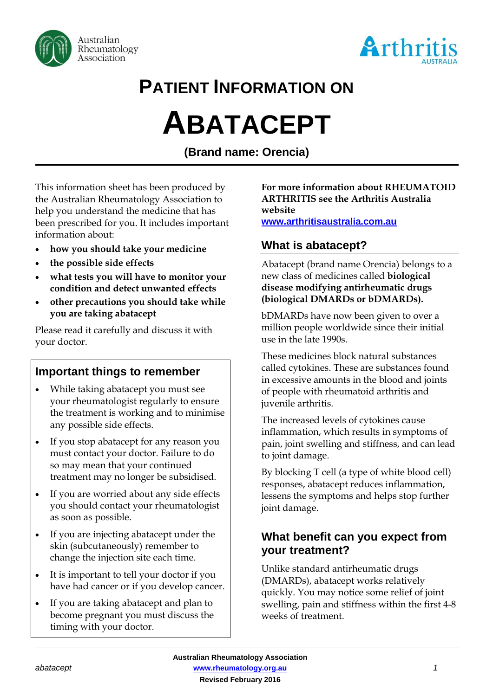



# **PATIENT INFORMATION ON**

# **ABATACEPT**

**(Brand name: Orencia)**

This information sheet has been produced by the Australian Rheumatology Association to help you understand the medicine that has been prescribed for you. It includes important information about:

- **how you should take your medicine**
- **the possible side effects**
- **what tests you will have to monitor your condition and detect unwanted effects**
- **other precautions you should take while you are taking abatacept**

Please read it carefully and discuss it with your doctor.

# **Important things to remember**

- While taking abatacept you must see your rheumatologist regularly to ensure the treatment is working and to minimise any possible side effects.
- If you stop abatacept for any reason you must contact your doctor. Failure to do so may mean that your continued treatment may no longer be subsidised.
- If you are worried about any side effects you should contact your rheumatologist as soon as possible.
- If you are injecting abatacept under the skin (subcutaneously) remember to change the injection site each time.
- It is important to tell your doctor if you have had cancer or if you develop cancer.
- If you are taking abatacept and plan to become pregnant you must discuss the timing with your doctor.

#### **For more information about RHEUMATOID ARTHRITIS see the Arthritis Australia website**

**[www.arthritisaustralia.com.au](http://www.arthritisaustralia.com.au/)**

# **What is abatacept?**

Abatacept (brand name Orencia) belongs to a new class of medicines called **biological disease modifying antirheumatic drugs (biological DMARDs or bDMARDs).** 

bDMARDs have now been given to over a million people worldwide since their initial use in the late 1990s.

These medicines block natural substances called cytokines. These are substances found in excessive amounts in the blood and joints of people with rheumatoid arthritis and juvenile arthritis.

The increased levels of cytokines cause inflammation, which results in symptoms of pain, joint swelling and stiffness, and can lead to joint damage.

By blocking T cell (a type of white blood cell) responses, abatacept reduces inflammation, lessens the symptoms and helps stop further joint damage.

# **What benefit can you expect from your treatment?**

Unlike standard antirheumatic drugs (DMARDs), abatacept works relatively quickly. You may notice some relief of joint swelling, pain and stiffness within the first 4-8 weeks of treatment.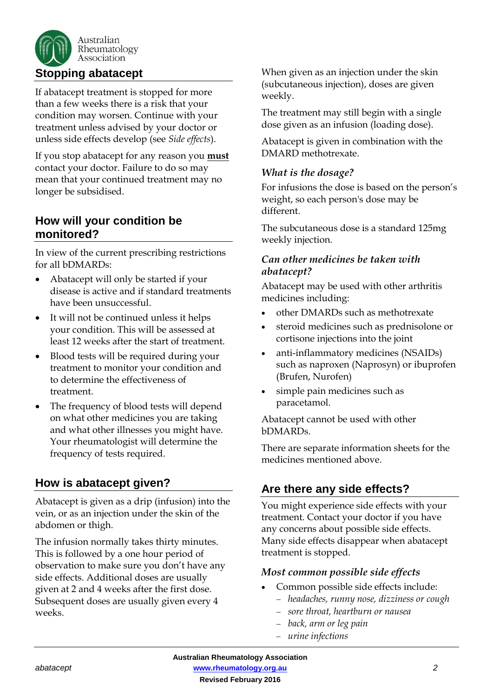

If abatacept treatment is stopped for more than a few weeks there is a risk that your condition may worsen. Continue with your treatment unless advised by your doctor or unless side effects develop (see *Side effects*).

If you stop abatacept for any reason you **must** contact your doctor. Failure to do so may mean that your continued treatment may no longer be subsidised.

# **How will your condition be monitored?**

In view of the current prescribing restrictions for all bDMARDs:

- Abatacept will only be started if your disease is active and if standard treatments have been unsuccessful.
- It will not be continued unless it helps your condition. This will be assessed at least 12 weeks after the start of treatment.
- Blood tests will be required during your treatment to monitor your condition and to determine the effectiveness of treatment.
- The frequency of blood tests will depend on what other medicines you are taking and what other illnesses you might have. Your rheumatologist will determine the frequency of tests required.

# **How is abatacept given?**

Abatacept is given as a drip (infusion) into the vein, or as an injection under the skin of the abdomen or thigh.

The infusion normally takes thirty minutes. This is followed by a one hour period of observation to make sure you don't have any side effects. Additional doses are usually given at 2 and 4 weeks after the first dose. Subsequent doses are usually given every 4 weeks.

When given as an injection under the skin (subcutaneous injection), doses are given weekly.

The treatment may still begin with a single dose given as an infusion (loading dose).

Abatacept is given in combination with the DMARD methotrexate.

# *What is the dosage?*

For infusions the dose is based on the person's weight, so each person's dose may be different.

The subcutaneous dose is a standard 125mg weekly injection.

# *Can other medicines be taken with abatacept?*

Abatacept may be used with other arthritis medicines including:

- other DMARDs such as methotrexate
- steroid medicines such as prednisolone or cortisone injections into the joint
- anti-inflammatory medicines (NSAIDs) such as naproxen (Naprosyn) or ibuprofen (Brufen, Nurofen)
- simple pain medicines such as paracetamol.

Abatacept cannot be used with other bDMARDs.

There are separate information sheets for the medicines mentioned above.

# **Are there any side effects?**

You might experience side effects with your treatment. Contact your doctor if you have any concerns about possible side effects. Many side effects disappear when abatacept treatment is stopped.

#### *Most common possible side effects*

- Common possible side effects include:
	- *headaches, runny nose, dizziness or cough*
	- *sore throat, heartburn or nausea*
	- *back, arm or leg pain*
	- *urine infections*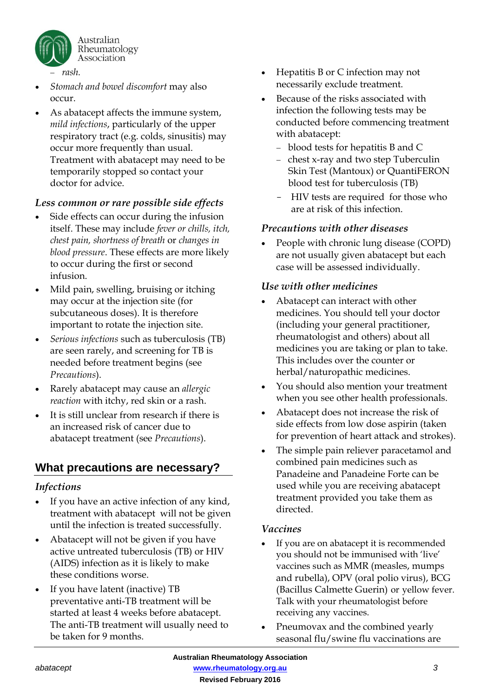

- *Stomach and bowel discomfort* may also occur.
- As abatacept affects the immune system, *mild infections*, particularly of the upper respiratory tract (e.g. colds, sinusitis) may occur more frequently than usual. Treatment with abatacept may need to be temporarily stopped so contact your doctor for advice.

# *Less common or rare possible side effects*

- Side effects can occur during the infusion itself. These may include *fever or chills, itch, chest pain, shortness of breath* or *changes in blood pressure*. These effects are more likely to occur during the first or second infusion.
- Mild pain, swelling, bruising or itching may occur at the injection site (for subcutaneous doses). It is therefore important to rotate the injection site.
- *Serious infections* such as tuberculosis (TB) are seen rarely, and screening for TB is needed before treatment begins (see *Precautions*).
- Rarely abatacept may cause an *allergic reaction* with itchy, red skin or a rash.
- It is still unclear from research if there is an increased risk of cancer due to abatacept treatment (see *Precautions*).

# **What precautions are necessary?**

#### *Infections*

- If you have an active infection of any kind, treatment with abatacept will not be given until the infection is treated successfully.
- Abatacept will not be given if you have active untreated tuberculosis (TB) or HIV (AIDS) infection as it is likely to make these conditions worse.
- If you have latent (inactive) TB preventative anti-TB treatment will be started at least 4 weeks before abatacept. The anti-TB treatment will usually need to be taken for 9 months.
- Hepatitis B or C infection may not necessarily exclude treatment.
- Because of the risks associated with infection the following tests may be conducted before commencing treatment with abatacept:
	- blood tests for hepatitis B and C
	- chest x-ray and two step Tuberculin Skin Test (Mantoux) or QuantiFERON blood test for tuberculosis (TB)
	- HIV tests are required for those who are at risk of this infection.

# *Precautions with other diseases*

• People with chronic lung disease (COPD) are not usually given abatacept but each case will be assessed individually.

#### *Use with other medicines*

- Abatacept can interact with other medicines. You should tell your doctor (including your general practitioner, rheumatologist and others) about all medicines you are taking or plan to take. This includes over the counter or herbal/naturopathic medicines.
- You should also mention your treatment when you see other health professionals.
- Abatacept does not increase the risk of side effects from low dose aspirin (taken for prevention of heart attack and strokes).
- The simple pain reliever paracetamol and combined pain medicines such as Panadeine and Panadeine Forte can be used while you are receiving abatacept treatment provided you take them as directed.

#### *Vaccines*

- If you are on abatacept it is recommended you should not be immunised with 'live' vaccines such as MMR (measles, mumps and rubella), OPV (oral polio virus), BCG (Bacillus Calmette Guerin) or yellow fever. Talk with your rheumatologist before receiving any vaccines.
- Pneumovax and the combined yearly seasonal flu/swine flu vaccinations are